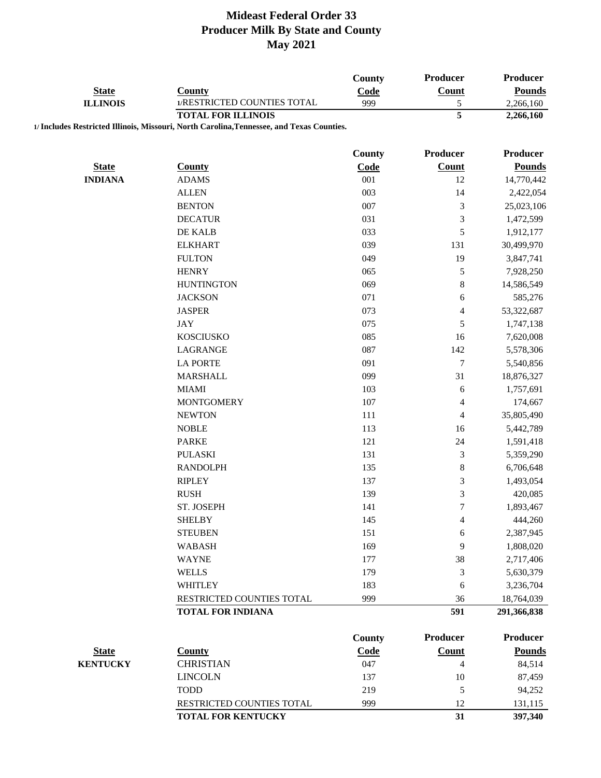|                                 |                                                                                           | County        | Producer                 | <b>Producer</b> |
|---------------------------------|-------------------------------------------------------------------------------------------|---------------|--------------------------|-----------------|
| <b>State</b><br><b>ILLINOIS</b> | <b>County</b>                                                                             | Code          | Count                    | <b>Pounds</b>   |
|                                 | 1/RESTRICTED COUNTIES TOTAL                                                               | 999           | $\mathfrak s$            | 2,266,160       |
|                                 | <b>TOTAL FOR ILLINOIS</b>                                                                 |               | 5                        | 2,266,160       |
|                                 | 1/ Includes Restricted Illinois, Missouri, North Carolina, Tennessee, and Texas Counties. |               |                          |                 |
|                                 |                                                                                           |               | Producer                 |                 |
|                                 |                                                                                           | County        |                          | <b>Producer</b> |
| <b>State</b>                    | <b>County</b>                                                                             | Code          | <b>Count</b>             | <b>Pounds</b>   |
| <b>INDIANA</b>                  | <b>ADAMS</b><br><b>ALLEN</b>                                                              | 001<br>003    | 12<br>14                 | 14,770,442      |
|                                 |                                                                                           |               |                          | 2,422,054       |
|                                 | <b>BENTON</b>                                                                             | 007           | 3                        | 25,023,106      |
|                                 | <b>DECATUR</b>                                                                            | 031           | 3                        | 1,472,599       |
|                                 | DE KALB                                                                                   | 033           | 5                        | 1,912,177       |
|                                 | <b>ELKHART</b>                                                                            | 039           | 131                      | 30,499,970      |
|                                 | <b>FULTON</b>                                                                             | 049           | 19                       | 3,847,741       |
|                                 | <b>HENRY</b>                                                                              | 065           | 5                        | 7,928,250       |
|                                 | <b>HUNTINGTON</b>                                                                         | 069           | $\,8\,$                  | 14,586,549      |
|                                 | <b>JACKSON</b>                                                                            | 071           | 6                        | 585,276         |
|                                 | <b>JASPER</b>                                                                             | 073           | 4                        | 53,322,687      |
|                                 | <b>JAY</b>                                                                                | 075           | 5                        | 1,747,138       |
|                                 | <b>KOSCIUSKO</b>                                                                          | 085           | 16                       | 7,620,008       |
|                                 | LAGRANGE                                                                                  | 087           | 142                      | 5,578,306       |
|                                 | <b>LA PORTE</b>                                                                           | 091           | $\overline{7}$           | 5,540,856       |
|                                 | <b>MARSHALL</b>                                                                           | 099           | 31                       | 18,876,327      |
|                                 | <b>MIAMI</b>                                                                              | 103           | 6                        | 1,757,691       |
|                                 | <b>MONTGOMERY</b>                                                                         | 107           | 4                        | 174,667         |
|                                 | <b>NEWTON</b>                                                                             | 111           | 4                        | 35,805,490      |
|                                 | <b>NOBLE</b>                                                                              | 113           | 16                       | 5,442,789       |
|                                 | <b>PARKE</b>                                                                              | 121           | 24                       | 1,591,418       |
|                                 | <b>PULASKI</b>                                                                            | 131           | 3                        | 5,359,290       |
|                                 | <b>RANDOLPH</b>                                                                           | 135           | $\,$ $\,$                | 6,706,648       |
|                                 | <b>RIPLEY</b>                                                                             | 137           | 3                        | 1,493,054       |
|                                 | <b>RUSH</b>                                                                               | 139           | 3                        | 420,085         |
|                                 | ST. JOSEPH                                                                                | 141           | 7                        | 1,893,467       |
|                                 | <b>SHELBY</b>                                                                             | 145           | 4                        | 444,260         |
|                                 | <b>STEUBEN</b>                                                                            | 151           | 6                        | 2,387,945       |
|                                 | <b>WABASH</b>                                                                             | 169           | 9                        | 1,808,020       |
|                                 | <b>WAYNE</b>                                                                              | 177           | 38                       | 2,717,406       |
|                                 | <b>WELLS</b>                                                                              | 179           | 3                        | 5,630,379       |
|                                 | WHITLEY                                                                                   | 183           | 6                        | 3,236,704       |
|                                 | RESTRICTED COUNTIES TOTAL                                                                 | 999           | 36                       | 18,764,039      |
|                                 | <b>TOTAL FOR INDIANA</b>                                                                  |               | 591                      | 291,366,838     |
|                                 |                                                                                           |               |                          |                 |
|                                 |                                                                                           | <b>County</b> | Producer                 | <b>Producer</b> |
| <b>State</b>                    | <b>County</b>                                                                             | Code          | Count                    | <b>Pounds</b>   |
| <b>KENTUCKY</b>                 | <b>CHRISTIAN</b>                                                                          | 047           | $\overline{\mathcal{L}}$ | 84,514          |
|                                 | <b>LINCOLN</b>                                                                            | 137           | 10                       | 87,459          |
|                                 | <b>TODD</b>                                                                               | 219           | 5                        | 94,252          |
|                                 | RESTRICTED COUNTIES TOTAL                                                                 | 999           | 12                       | 131,115         |
|                                 | <b>TOTAL FOR KENTUCKY</b>                                                                 |               | 31                       | 397,340         |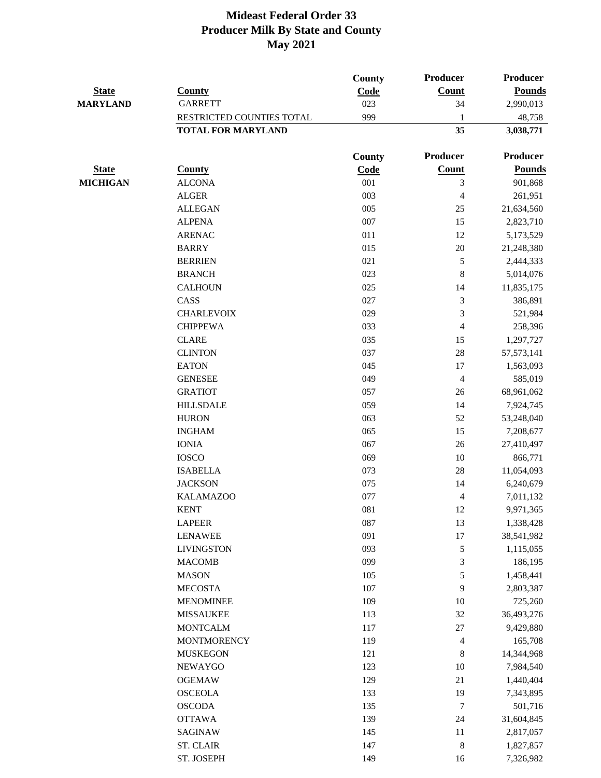| <b>State</b><br><b>MARYLAND</b> | <b>County</b><br><b>GARRETT</b> | <b>County</b><br>Code<br>023 | Producer<br>Count<br>34  | <b>Producer</b><br><b>Pounds</b><br>2,990,013 |
|---------------------------------|---------------------------------|------------------------------|--------------------------|-----------------------------------------------|
|                                 | RESTRICTED COUNTIES TOTAL       | 999                          | 1                        | 48,758                                        |
|                                 | <b>TOTAL FOR MARYLAND</b>       |                              | 35                       | 3,038,771                                     |
|                                 |                                 | <b>County</b>                | Producer                 | Producer                                      |
| <b>State</b>                    | <b>County</b>                   | Code                         | Count                    | <b>Pounds</b>                                 |
| <b>MICHIGAN</b>                 | <b>ALCONA</b>                   | 001                          | 3                        | 901,868                                       |
|                                 | <b>ALGER</b>                    | 003                          | 4                        | 261,951                                       |
|                                 | <b>ALLEGAN</b>                  | 005                          | 25                       | 21,634,560                                    |
|                                 | <b>ALPENA</b>                   | 007                          | 15                       | 2,823,710                                     |
|                                 | <b>ARENAC</b>                   | 011                          | 12                       | 5,173,529                                     |
|                                 | <b>BARRY</b>                    | 015                          | 20                       | 21,248,380                                    |
|                                 | <b>BERRIEN</b>                  | 021                          | 5                        | 2,444,333                                     |
|                                 | <b>BRANCH</b>                   | 023                          | 8                        | 5,014,076                                     |
|                                 | <b>CALHOUN</b>                  | 025                          | 14                       | 11,835,175                                    |
|                                 | CASS                            | 027                          | 3                        | 386,891                                       |
|                                 | <b>CHARLEVOIX</b>               | 029                          | 3                        | 521,984                                       |
|                                 | <b>CHIPPEWA</b>                 | 033                          | 4                        | 258,396                                       |
|                                 | <b>CLARE</b>                    | 035                          | 15                       | 1,297,727                                     |
|                                 | <b>CLINTON</b>                  | 037                          | 28                       | 57, 573, 141                                  |
|                                 | <b>EATON</b>                    | 045                          | 17                       | 1,563,093                                     |
|                                 | <b>GENESEE</b>                  | 049                          | $\overline{\mathbf{4}}$  | 585,019                                       |
|                                 | <b>GRATIOT</b>                  | 057                          | 26                       | 68,961,062                                    |
|                                 | <b>HILLSDALE</b>                | 059                          | 14                       | 7,924,745                                     |
|                                 | <b>HURON</b>                    | 063                          | 52                       | 53,248,040                                    |
|                                 | <b>INGHAM</b>                   | 065                          | 15                       | 7,208,677                                     |
|                                 | <b>IONIA</b>                    | 067                          | 26                       | 27,410,497                                    |
|                                 | <b>IOSCO</b>                    | 069                          | $10\,$                   | 866,771                                       |
|                                 | <b>ISABELLA</b>                 | 073                          | 28                       | 11,054,093                                    |
|                                 | <b>JACKSON</b>                  | 075                          | 14                       | 6,240,679                                     |
|                                 | <b>KALAMAZOO</b>                | 077                          | 4                        | 7,011,132                                     |
|                                 | <b>KENT</b>                     | 081                          | 12                       | 9,971,365                                     |
|                                 | <b>LAPEER</b>                   | 087                          | 13                       | 1,338,428                                     |
|                                 | <b>LENAWEE</b>                  | 091                          | 17                       | 38,541,982                                    |
|                                 | <b>LIVINGSTON</b>               | 093                          | 5                        | 1,115,055                                     |
|                                 | <b>MACOMB</b>                   | 099                          | $\mathfrak{Z}$           | 186,195                                       |
|                                 | <b>MASON</b>                    | 105                          | 5                        | 1,458,441                                     |
|                                 | <b>MECOSTA</b>                  | 107                          | 9                        | 2,803,387                                     |
|                                 | <b>MENOMINEE</b>                | 109                          | 10                       | 725,260                                       |
|                                 | <b>MISSAUKEE</b>                | 113                          | 32                       | 36,493,276                                    |
|                                 | <b>MONTCALM</b>                 | 117                          | $27\,$                   | 9,429,880                                     |
|                                 | <b>MONTMORENCY</b>              | 119                          | $\overline{\mathcal{A}}$ | 165,708                                       |
|                                 | <b>MUSKEGON</b>                 | 121                          | $\,$ 8 $\,$              | 14,344,968                                    |
|                                 | <b>NEWAYGO</b>                  | 123                          | 10                       | 7,984,540                                     |
|                                 | <b>OGEMAW</b>                   | 129                          | 21                       | 1,440,404                                     |
|                                 | <b>OSCEOLA</b>                  | 133                          | 19                       | 7,343,895                                     |
|                                 | <b>OSCODA</b>                   | 135                          | $\boldsymbol{7}$         | 501,716                                       |
|                                 | <b>OTTAWA</b>                   | 139                          | 24                       | 31,604,845                                    |
|                                 | SAGINAW                         | 145                          | 11                       | 2,817,057                                     |
|                                 | <b>ST. CLAIR</b>                | 147                          | $\,$ 8 $\,$              | 1,827,857                                     |
|                                 | ST. JOSEPH                      | 149                          | 16                       | 7,326,982                                     |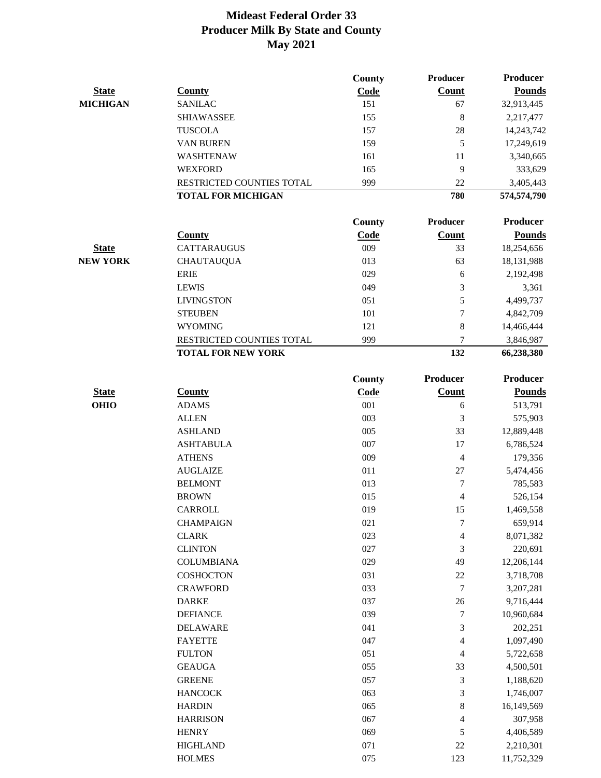|                 |                           | County        | Producer                | <b>Producer</b> |
|-----------------|---------------------------|---------------|-------------------------|-----------------|
| <b>State</b>    | <b>County</b>             | Code          | Count                   | <b>Pounds</b>   |
| <b>MICHIGAN</b> | <b>SANILAC</b>            | 151           | 67                      | 32,913,445      |
|                 | <b>SHIAWASSEE</b>         | 155           | $\,8\,$                 | 2,217,477       |
|                 | <b>TUSCOLA</b>            | 157           | 28                      | 14,243,742      |
|                 | <b>VAN BUREN</b>          | 159           | 5                       | 17,249,619      |
|                 | WASHTENAW                 | 161           | 11                      | 3,340,665       |
|                 | <b>WEXFORD</b>            | 165           | 9                       | 333,629         |
|                 | RESTRICTED COUNTIES TOTAL | 999           | 22                      | 3,405,443       |
|                 | <b>TOTAL FOR MICHIGAN</b> |               | 780                     | 574,574,790     |
|                 |                           | County        | Producer                | <b>Producer</b> |
|                 | <b>County</b>             | Code          | <b>Count</b>            | <b>Pounds</b>   |
| <b>State</b>    | <b>CATTARAUGUS</b>        | 009           | 33                      | 18,254,656      |
| <b>NEW YORK</b> | <b>CHAUTAUQUA</b>         | 013           | 63                      | 18,131,988      |
|                 | <b>ERIE</b>               | 029           | $\sqrt{6}$              | 2,192,498       |
|                 | <b>LEWIS</b>              | 049           | $\mathfrak{Z}$          | 3,361           |
|                 | <b>LIVINGSTON</b>         | 051           | 5                       | 4,499,737       |
|                 | <b>STEUBEN</b>            | 101           | 7                       | 4,842,709       |
|                 | <b>WYOMING</b>            | 121           | $\bf 8$                 | 14,466,444      |
|                 | RESTRICTED COUNTIES TOTAL | 999           | 7                       | 3,846,987       |
|                 | <b>TOTAL FOR NEW YORK</b> |               | 132                     | 66,238,380      |
|                 |                           | <b>County</b> | <b>Producer</b>         | <b>Producer</b> |
| <b>State</b>    | <b>County</b>             | Code          | Count                   | <b>Pounds</b>   |
| <b>OHIO</b>     | <b>ADAMS</b>              | 001           | 6                       | 513,791         |
|                 | <b>ALLEN</b>              | 003           | 3                       | 575,903         |
|                 | <b>ASHLAND</b>            | 005           | 33                      | 12,889,448      |
|                 | <b>ASHTABULA</b>          | 007           | 17                      | 6,786,524       |
|                 | <b>ATHENS</b>             | 009           | 4                       | 179,356         |
|                 | <b>AUGLAIZE</b>           | 011           | $27\,$                  | 5,474,456       |
|                 | <b>BELMONT</b>            | 013           | 7                       | 785,583         |
|                 | <b>BROWN</b>              | 015           | $\overline{4}$          | 526,154         |
|                 | CARROLL                   | 019           | 15                      | 1,469,558       |
|                 | <b>CHAMPAIGN</b>          | 021           | 7                       | 659,914         |
|                 | <b>CLARK</b>              | 023           | $\overline{\mathbf{4}}$ | 8,071,382       |
|                 | <b>CLINTON</b>            | 027           | 3                       | 220,691         |
|                 | <b>COLUMBIANA</b>         | 029           | 49                      | 12,206,144      |
|                 | <b>COSHOCTON</b>          | 031           | $22\,$                  | 3,718,708       |
|                 | <b>CRAWFORD</b>           | 033           | 7                       | 3,207,281       |
|                 | <b>DARKE</b>              | 037           | 26                      | 9,716,444       |
|                 | <b>DEFIANCE</b>           | 039           | 7                       | 10,960,684      |
|                 | <b>DELAWARE</b>           | 041           | 3                       | 202,251         |
|                 | <b>FAYETTE</b>            | 047           | $\overline{4}$          | 1,097,490       |
|                 | <b>FULTON</b>             | 051           | $\overline{4}$          | 5,722,658       |
|                 | <b>GEAUGA</b>             | 055           | 33                      | 4,500,501       |
|                 | <b>GREENE</b>             | 057           | 3                       | 1,188,620       |
|                 | <b>HANCOCK</b>            | 063           | 3                       | 1,746,007       |
|                 | <b>HARDIN</b>             | 065           | 8                       | 16,149,569      |
|                 | <b>HARRISON</b>           | 067           | 4                       | 307,958         |
|                 | <b>HENRY</b>              | 069           | 5                       | 4,406,589       |
|                 | <b>HIGHLAND</b>           | 071           | $22\,$                  | 2,210,301       |
|                 | <b>HOLMES</b>             | 075           | 123                     | 11,752,329      |
|                 |                           |               |                         |                 |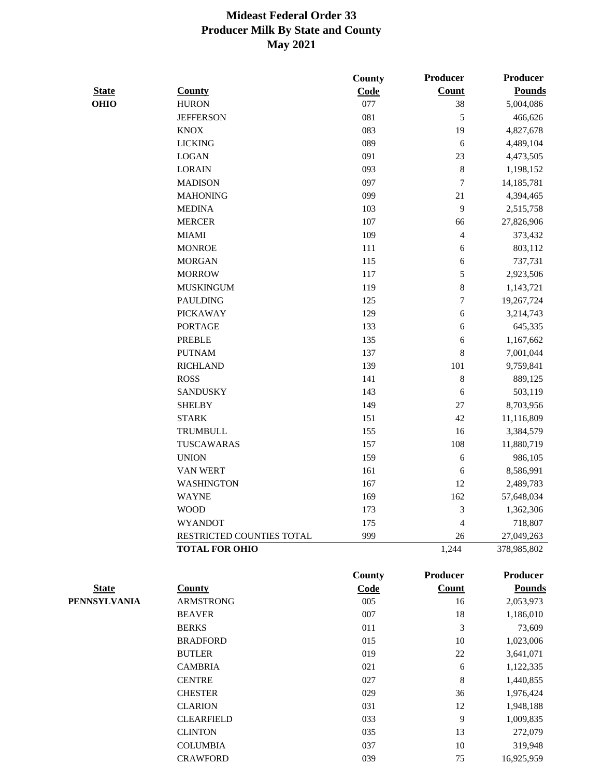|              |                           | County        | Producer                 | <b>Producer</b> |
|--------------|---------------------------|---------------|--------------------------|-----------------|
| <b>State</b> | <b>County</b>             | Code          | Count                    | <b>Pounds</b>   |
| <b>OHIO</b>  | <b>HURON</b>              | 077           | 38                       | 5,004,086       |
|              | <b>JEFFERSON</b>          | 081           | 5                        | 466,626         |
|              | <b>KNOX</b>               | 083           | 19                       | 4,827,678       |
|              | <b>LICKING</b>            | 089           | 6                        | 4,489,104       |
|              | <b>LOGAN</b>              | 091           | 23                       | 4,473,505       |
|              | <b>LORAIN</b>             | 093           | 8                        | 1,198,152       |
|              | <b>MADISON</b>            | 097           | $\overline{7}$           | 14,185,781      |
|              | <b>MAHONING</b>           | 099           | 21                       | 4,394,465       |
|              | <b>MEDINA</b>             | 103           | 9                        | 2,515,758       |
|              | <b>MERCER</b>             | 107           | 66                       | 27,826,906      |
|              | <b>MIAMI</b>              | 109           | $\overline{\mathcal{L}}$ | 373,432         |
|              | <b>MONROE</b>             | 111           | 6                        | 803,112         |
|              | <b>MORGAN</b>             | 115           | 6                        | 737,731         |
|              | <b>MORROW</b>             | 117           | 5                        | 2,923,506       |
|              | <b>MUSKINGUM</b>          | 119           | 8                        | 1,143,721       |
|              | <b>PAULDING</b>           | 125           | $\boldsymbol{7}$         | 19,267,724      |
|              | <b>PICKAWAY</b>           | 129           | 6                        | 3,214,743       |
|              | <b>PORTAGE</b>            | 133           | 6                        | 645,335         |
|              | <b>PREBLE</b>             | 135           | 6                        | 1,167,662       |
|              | <b>PUTNAM</b>             | 137           | 8                        | 7,001,044       |
|              | <b>RICHLAND</b>           | 139           | 101                      | 9,759,841       |
|              | <b>ROSS</b>               | 141           | 8                        | 889,125         |
|              | <b>SANDUSKY</b>           | 143           | 6                        | 503,119         |
|              | <b>SHELBY</b>             | 149           | 27                       | 8,703,956       |
|              | <b>STARK</b>              | 151           | 42                       | 11,116,809      |
|              | <b>TRUMBULL</b>           | 155           | 16                       | 3,384,579       |
|              | TUSCAWARAS                | 157           | 108                      | 11,880,719      |
|              | <b>UNION</b>              | 159           | 6                        | 986,105         |
|              | <b>VAN WERT</b>           | 161           | 6                        | 8,586,991       |
|              | <b>WASHINGTON</b>         | 167           | 12                       | 2,489,783       |
|              | <b>WAYNE</b>              | 169           | 162                      | 57,648,034      |
|              | <b>WOOD</b>               | 173           | 3                        | 1,362,306       |
|              | <b>WYANDOT</b>            | 175           | 4                        | 718,807         |
|              | RESTRICTED COUNTIES TOTAL | 999           | 26                       | 27,049,263      |
|              | <b>TOTAL FOR OHIO</b>     |               | 1,244                    | 378,985,802     |
|              |                           | <b>County</b> | Producer                 | Producer        |
| <b>State</b> | <b>County</b>             | Code          | <b>Count</b>             | <b>Pounds</b>   |
| PENNSYLVANIA | <b>ARMSTRONG</b>          | 005           | 16                       | 2,053,973       |
|              | <b>BEAVER</b>             | 007           | 18                       | 1,186,010       |
|              | <b>BERKS</b>              | 011           | 3                        | 73,609          |
|              | <b>BRADFORD</b>           | 015           | $10\,$                   | 1,023,006       |

| <b>BEAVER</b>     | 007 | 18 | 1,186,010  |
|-------------------|-----|----|------------|
| <b>BERKS</b>      | 011 | 3  | 73,609     |
| <b>BRADFORD</b>   | 015 | 10 | 1,023,006  |
| <b>BUTLER</b>     | 019 | 22 | 3,641,071  |
| <b>CAMBRIA</b>    | 021 | 6  | 1,122,335  |
| <b>CENTRE</b>     | 027 | 8  | 1,440,855  |
| <b>CHESTER</b>    | 029 | 36 | 1,976,424  |
| <b>CLARION</b>    | 031 | 12 | 1,948,188  |
| <b>CLEARFIELD</b> | 033 | 9  | 1,009,835  |
| <b>CLINTON</b>    | 035 | 13 | 272,079    |
| <b>COLUMBIA</b>   | 037 | 10 | 319,948    |
| <b>CRAWFORD</b>   | 039 | 75 | 16,925,959 |